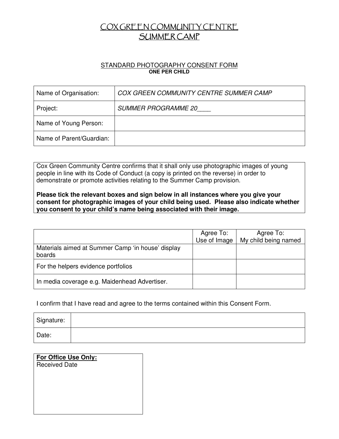## COX GREEN COMMUNITY CENTRE SUMMER CAMP

## STANDARD PHOTOGRAPHY CONSENT FORM **ONE PER CHILD**

| Name of Organisation:    | COX GREEN COMMUNITY CENTRE SUMMER CAMP |
|--------------------------|----------------------------------------|
| Project:                 | <b>SUMMER PROGRAMME 20</b>             |
| Name of Young Person:    |                                        |
| Name of Parent/Guardian: |                                        |

Cox Green Community Centre confirms that it shall only use photographic images of young people in line with its Code of Conduct (a copy is printed on the reverse) in order to demonstrate or promote activities relating to the Summer Camp provision.

**Please tick the relevant boxes and sign below in all instances where you give your consent for photographic images of your child being used. Please also indicate whether you consent to your child's name being associated with their image.** 

|                                                             | Agree To:<br>Use of Image | Agree To:<br>My child being named |
|-------------------------------------------------------------|---------------------------|-----------------------------------|
| Materials aimed at Summer Camp 'in house' display<br>boards |                           |                                   |
| For the helpers evidence portfolios                         |                           |                                   |
| In media coverage e.g. Maidenhead Advertiser.               |                           |                                   |

I confirm that I have read and agree to the terms contained within this Consent Form.

| Signature: |  |
|------------|--|
| Date:      |  |

| <b>For Office Use Only:</b><br><b>Received Date</b> |
|-----------------------------------------------------|
|                                                     |
|                                                     |
|                                                     |